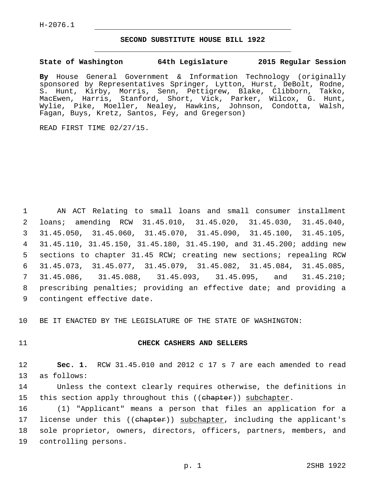## **SECOND SUBSTITUTE HOUSE BILL 1922**

## **State of Washington 64th Legislature 2015 Regular Session**

**By** House General Government & Information Technology (originally sponsored by Representatives Springer, Lytton, Hurst, DeBolt, Rodne, S. Hunt, Kirby, Morris, Senn, Pettigrew, Blake, Clibborn, Takko, MacEwen, Harris, Stanford, Short, Vick, Parker, Wilcox, G. Hunt, Wylie, Pike, Moeller, Nealey, Hawkins, Johnson, Condotta, Walsh, Fagan, Buys, Kretz, Santos, Fey, and Gregerson)

READ FIRST TIME 02/27/15.

 AN ACT Relating to small loans and small consumer installment loans; amending RCW 31.45.010, 31.45.020, 31.45.030, 31.45.040, 31.45.050, 31.45.060, 31.45.070, 31.45.090, 31.45.100, 31.45.105, 31.45.110, 31.45.150, 31.45.180, 31.45.190, and 31.45.200; adding new sections to chapter 31.45 RCW; creating new sections; repealing RCW 31.45.073, 31.45.077, 31.45.079, 31.45.082, 31.45.084, 31.45.085, 31.45.086, 31.45.088, 31.45.093, 31.45.095, and 31.45.210; prescribing penalties; providing an effective date; and providing a 9 contingent effective date.

10 BE IT ENACTED BY THE LEGISLATURE OF THE STATE OF WASHINGTON:

## 11 **CHECK CASHERS AND SELLERS**

12 **Sec. 1.** RCW 31.45.010 and 2012 c 17 s 7 are each amended to read 13 as follows:

14 Unless the context clearly requires otherwise, the definitions in 15 this section apply throughout this ((ehapter)) subchapter.

16 (1) "Applicant" means a person that files an application for a 17 license under this ((ehapter)) subchapter, including the applicant's 18 sole proprietor, owners, directors, officers, partners, members, and 19 controlling persons.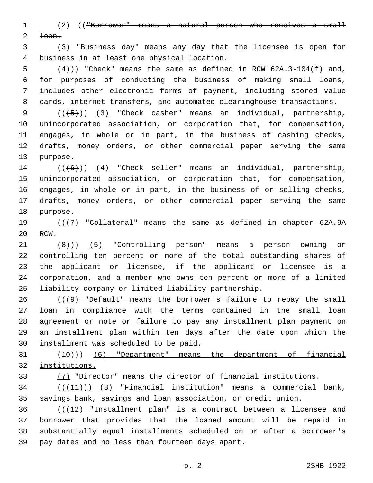(2) (("Borrower" means a natural person who receives a small  $2 \quad \text{toan.}$ 

 (3) "Business day" means any day that the licensee is open for business in at least one physical location.

 $(4)$ )) "Check" means the same as defined in RCW 62A.3-104(f) and, for purposes of conducting the business of making small loans, includes other electronic forms of payment, including stored value cards, internet transfers, and automated clearinghouse transactions.

 $((+5))$   $(3)$  "Check casher" means an individual, partnership, unincorporated association, or corporation that, for compensation, engages, in whole or in part, in the business of cashing checks, drafts, money orders, or other commercial paper serving the same 13 purpose.

14 (((6)) (4) "Check seller" means an individual, partnership, unincorporated association, or corporation that, for compensation, engages, in whole or in part, in the business of or selling checks, drafts, money orders, or other commercial paper serving the same 18 purpose.

 (((7) "Collateral" means the same as defined in chapter 62A.9A 20 RCW.

21 (8))) (5) "Controlling person" means a person owning or controlling ten percent or more of the total outstanding shares of the applicant or licensee, if the applicant or licensee is a corporation, and a member who owns ten percent or more of a limited liability company or limited liability partnership.

 (((9) "Default" means the borrower's failure to repay the small loan in compliance with the terms contained in the small loan agreement or note or failure to pay any installment plan payment on an installment plan within ten days after the date upon which the installment was scheduled to be paid.

 $(10)$   $(6)$  "Department" means the department of financial institutions.

(7) "Director" means the director of financial institutions.

 ( $(\overline{+11})$ )  $(8)$  "Financial institution" means a commercial bank, savings bank, savings and loan association, or credit union.

 (((12) "Installment plan" is a contract between a licensee and borrower that provides that the loaned amount will be repaid in substantially equal installments scheduled on or after a borrower's pay dates and no less than fourteen days apart.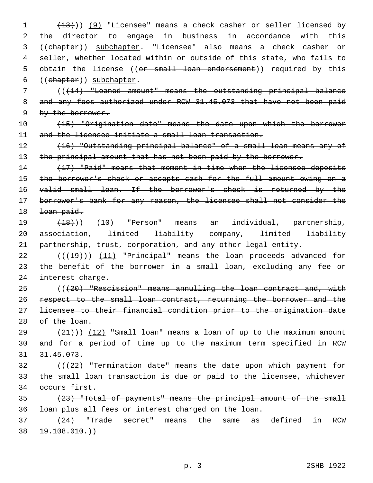(13))) (9) "Licensee" means a check casher or seller licensed by the director to engage in business in accordance with this ((chapter)) subchapter. "Licensee" also means a check casher or seller, whether located within or outside of this state, who fails to 5 obtain the license ((or small loan endorsement)) required by this 6 ((chapter)) subchapter.

 (((14) "Loaned amount" means the outstanding principal balance 8 and any fees authorized under RCW 31.45.073 that have not been paid by the borrower.

 (15) "Origination date" means the date upon which the borrower 11 and the licensee initiate a small loan transaction.

 (16) "Outstanding principal balance" of a small loan means any of 13 the principal amount that has not been paid by the borrower.

 (17) "Paid" means that moment in time when the licensee deposits 15 the borrower's check or accepts cash for the full amount owing on a valid small loan. If the borrower's check is returned by the borrower's bank for any reason, the licensee shall not consider the 18 <del>loan paid.</del>

 (18))) (10) "Person" means an individual, partnership, association, limited liability company, limited liability partnership, trust, corporation, and any other legal entity.

 ( $(419)$ ) (11) "Principal" means the loan proceeds advanced for the benefit of the borrower in a small loan, excluding any fee or 24 interest charge.

25 (((20) "Rescission" means annulling the loan contract and, with respect to the small loan contract, returning the borrower and the licensee to their financial condition prior to the origination date 28 of the loan.

 $(21)$ ) (12) "Small loan" means a loan of up to the maximum amount and for a period of time up to the maximum term specified in RCW 31.45.073.

 (((22) "Termination date" means the date upon which payment for the small loan transaction is due or paid to the licensee, whichever 34 occurs first.

 (23) "Total of payments" means the principal amount of the small loan plus all fees or interest charged on the loan.

 (24) "Trade secret" means the same as defined in RCW  $38 + 19.108.010.)$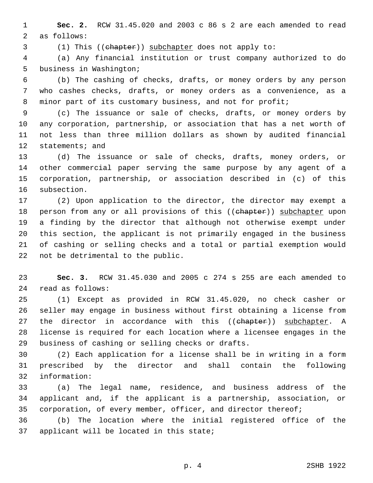**Sec. 2.** RCW 31.45.020 and 2003 c 86 s 2 are each amended to read 2 as follows:

(1) This ((chapter)) subchapter does not apply to:

 (a) Any financial institution or trust company authorized to do 5 business in Washington;

 (b) The cashing of checks, drafts, or money orders by any person who cashes checks, drafts, or money orders as a convenience, as a 8 minor part of its customary business, and not for profit;

 (c) The issuance or sale of checks, drafts, or money orders by any corporation, partnership, or association that has a net worth of not less than three million dollars as shown by audited financial 12 statements; and

 (d) The issuance or sale of checks, drafts, money orders, or other commercial paper serving the same purpose by any agent of a corporation, partnership, or association described in (c) of this 16 subsection.

 (2) Upon application to the director, the director may exempt a 18 person from any or all provisions of this ((chapter)) subchapter upon a finding by the director that although not otherwise exempt under this section, the applicant is not primarily engaged in the business of cashing or selling checks and a total or partial exemption would 22 not be detrimental to the public.

 **Sec. 3.** RCW 31.45.030 and 2005 c 274 s 255 are each amended to read as follows:24

 (1) Except as provided in RCW 31.45.020, no check casher or seller may engage in business without first obtaining a license from 27 the director in accordance with this ((chapter)) subchapter. A license is required for each location where a licensee engages in the 29 business of cashing or selling checks or drafts.

 (2) Each application for a license shall be in writing in a form prescribed by the director and shall contain the following information:32

 (a) The legal name, residence, and business address of the applicant and, if the applicant is a partnership, association, or 35 corporation, of every member, officer, and director thereof;

 (b) The location where the initial registered office of the 37 applicant will be located in this state;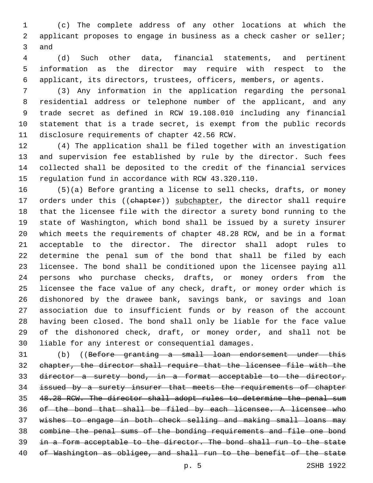(c) The complete address of any other locations at which the applicant proposes to engage in business as a check casher or seller; 3 and

 (d) Such other data, financial statements, and pertinent information as the director may require with respect to the applicant, its directors, trustees, officers, members, or agents.

 (3) Any information in the application regarding the personal residential address or telephone number of the applicant, and any trade secret as defined in RCW 19.108.010 including any financial statement that is a trade secret, is exempt from the public records 11 disclosure requirements of chapter 42.56 RCW.

 (4) The application shall be filed together with an investigation and supervision fee established by rule by the director. Such fees collected shall be deposited to the credit of the financial services regulation fund in accordance with RCW 43.320.110.

 (5)(a) Before granting a license to sell checks, drafts, or money 17 orders under this ((chapter)) subchapter, the director shall require that the licensee file with the director a surety bond running to the state of Washington, which bond shall be issued by a surety insurer which meets the requirements of chapter 48.28 RCW, and be in a format acceptable to the director. The director shall adopt rules to determine the penal sum of the bond that shall be filed by each licensee. The bond shall be conditioned upon the licensee paying all persons who purchase checks, drafts, or money orders from the licensee the face value of any check, draft, or money order which is dishonored by the drawee bank, savings bank, or savings and loan association due to insufficient funds or by reason of the account having been closed. The bond shall only be liable for the face value of the dishonored check, draft, or money order, and shall not be 30 liable for any interest or consequential damages.

31 (b) ((Before granting a small loan endorsement under this chapter, the director shall require that the licensee file with the director a surety bond, in a format acceptable to the director, issued by a surety insurer that meets the requirements of chapter 48.28 RCW. The director shall adopt rules to determine the penal sum of the bond that shall be filed by each licensee. A licensee who wishes to engage in both check selling and making small loans may combine the penal sums of the bonding requirements and file one bond 39 in a form acceptable to the director. The bond shall run to the state 40 of Washington as obligee, and shall run to the benefit of the state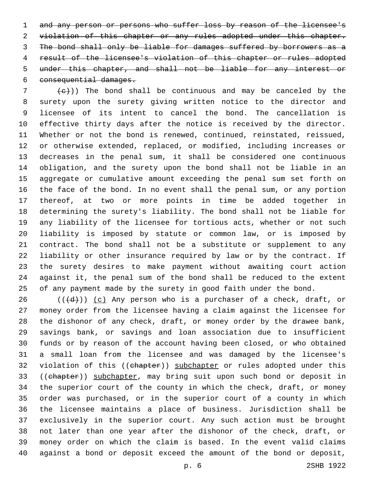and any person or persons who suffer loss by reason of the licensee's 2 violation of this chapter or any rules adopted under this chapter. The bond shall only be liable for damages suffered by borrowers as a result of the licensee's violation of this chapter or rules adopted under this chapter, and shall not be liable for any interest or 6 consequential damages.

 (e)) The bond shall be continuous and may be canceled by the surety upon the surety giving written notice to the director and licensee of its intent to cancel the bond. The cancellation is effective thirty days after the notice is received by the director. Whether or not the bond is renewed, continued, reinstated, reissued, or otherwise extended, replaced, or modified, including increases or decreases in the penal sum, it shall be considered one continuous obligation, and the surety upon the bond shall not be liable in an aggregate or cumulative amount exceeding the penal sum set forth on the face of the bond. In no event shall the penal sum, or any portion thereof, at two or more points in time be added together in determining the surety's liability. The bond shall not be liable for any liability of the licensee for tortious acts, whether or not such liability is imposed by statute or common law, or is imposed by contract. The bond shall not be a substitute or supplement to any liability or other insurance required by law or by the contract. If the surety desires to make payment without awaiting court action against it, the penal sum of the bond shall be reduced to the extent of any payment made by the surety in good faith under the bond.

 (( $\left(\frac{1}{d} \right)$ ) (c) Any person who is a purchaser of a check, draft, or money order from the licensee having a claim against the licensee for the dishonor of any check, draft, or money order by the drawee bank, savings bank, or savings and loan association due to insufficient funds or by reason of the account having been closed, or who obtained a small loan from the licensee and was damaged by the licensee's 32 violation of this ((chapter)) subchapter or rules adopted under this 33 ((chapter)) subchapter, may bring suit upon such bond or deposit in the superior court of the county in which the check, draft, or money order was purchased, or in the superior court of a county in which the licensee maintains a place of business. Jurisdiction shall be exclusively in the superior court. Any such action must be brought not later than one year after the dishonor of the check, draft, or money order on which the claim is based. In the event valid claims against a bond or deposit exceed the amount of the bond or deposit,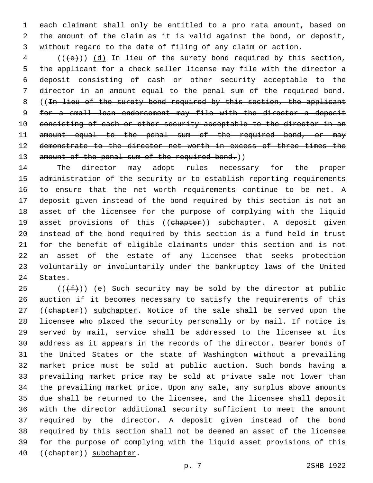each claimant shall only be entitled to a pro rata amount, based on the amount of the claim as it is valid against the bond, or deposit, without regard to the date of filing of any claim or action.

 (( $\left(\frac{1}{e}\right)$ ) (d) In lieu of the surety bond required by this section, the applicant for a check seller license may file with the director a deposit consisting of cash or other security acceptable to the director in an amount equal to the penal sum of the required bond. 8 ((In lieu of the surety bond required by this section, the applicant for a small loan endorsement may file with the director a deposit 10 consisting of cash or other security acceptable to the director in an 11 amount equal to the penal sum of the required bond, or may demonstrate to the director net worth in excess of three times the 13 amount of the penal sum of the required bond.))

 The director may adopt rules necessary for the proper administration of the security or to establish reporting requirements to ensure that the net worth requirements continue to be met. A deposit given instead of the bond required by this section is not an asset of the licensee for the purpose of complying with the liquid 19 asset provisions of this ((chapter)) subchapter. A deposit given instead of the bond required by this section is a fund held in trust for the benefit of eligible claimants under this section and is not an asset of the estate of any licensee that seeks protection voluntarily or involuntarily under the bankruptcy laws of the United 24 States.

 $((\text{+f-}))(e)$  Such security may be sold by the director at public auction if it becomes necessary to satisfy the requirements of this 27 ((chapter)) subchapter. Notice of the sale shall be served upon the licensee who placed the security personally or by mail. If notice is served by mail, service shall be addressed to the licensee at its address as it appears in the records of the director. Bearer bonds of the United States or the state of Washington without a prevailing market price must be sold at public auction. Such bonds having a prevailing market price may be sold at private sale not lower than the prevailing market price. Upon any sale, any surplus above amounts due shall be returned to the licensee, and the licensee shall deposit with the director additional security sufficient to meet the amount required by the director. A deposit given instead of the bond required by this section shall not be deemed an asset of the licensee for the purpose of complying with the liquid asset provisions of this 40 ((chapter)) subchapter.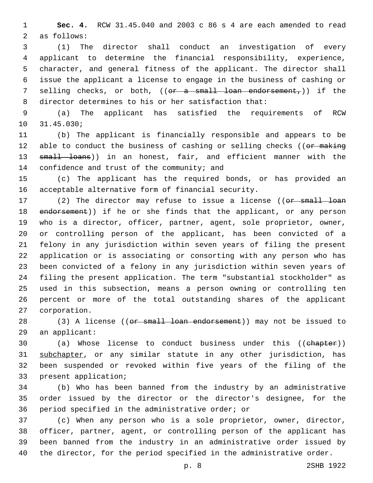**Sec. 4.** RCW 31.45.040 and 2003 c 86 s 4 are each amended to read 2 as follows:

 (1) The director shall conduct an investigation of every applicant to determine the financial responsibility, experience, character, and general fitness of the applicant. The director shall issue the applicant a license to engage in the business of cashing or 7 selling checks, or both, ((<del>or a small loan endorsement,</del>)) if the director determines to his or her satisfaction that:

 (a) The applicant has satisfied the requirements of RCW 31.45.030;10

 (b) The applicant is financially responsible and appears to be 12 able to conduct the business of cashing or selling checks ((or making 13 small loans)) in an honest, fair, and efficient manner with the 14 confidence and trust of the community; and

 (c) The applicant has the required bonds, or has provided an acceptable alternative form of financial security.

17 (2) The director may refuse to issue a license ((or small loan 18 endorsement)) if he or she finds that the applicant, or any person who is a director, officer, partner, agent, sole proprietor, owner, or controlling person of the applicant, has been convicted of a felony in any jurisdiction within seven years of filing the present application or is associating or consorting with any person who has been convicted of a felony in any jurisdiction within seven years of filing the present application. The term "substantial stockholder" as used in this subsection, means a person owning or controlling ten percent or more of the total outstanding shares of the applicant 27 corporation.

28 (3) A license ((or small loan endorsement)) may not be issued to 29 an applicant:

 (a) Whose license to conduct business under this ((chapter)) subchapter, or any similar statute in any other jurisdiction, has been suspended or revoked within five years of the filing of the 33 present application;

 (b) Who has been banned from the industry by an administrative order issued by the director or the director's designee, for the 36 period specified in the administrative order; or

 (c) When any person who is a sole proprietor, owner, director, officer, partner, agent, or controlling person of the applicant has been banned from the industry in an administrative order issued by the director, for the period specified in the administrative order.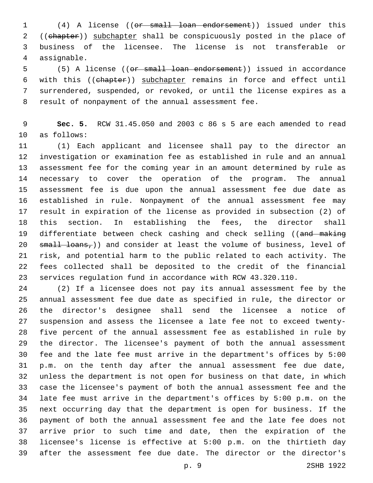(4) A license ((or small loan endorsement)) issued under this 2 ((chapter)) subchapter shall be conspicuously posted in the place of business of the licensee. The license is not transferable or assignable.4

 (5) A license ((or small loan endorsement)) issued in accordance with this ((chapter)) subchapter remains in force and effect until surrendered, suspended, or revoked, or until the license expires as a 8 result of nonpayment of the annual assessment fee.

 **Sec. 5.** RCW 31.45.050 and 2003 c 86 s 5 are each amended to read 10 as follows:

 (1) Each applicant and licensee shall pay to the director an investigation or examination fee as established in rule and an annual assessment fee for the coming year in an amount determined by rule as necessary to cover the operation of the program. The annual assessment fee is due upon the annual assessment fee due date as established in rule. Nonpayment of the annual assessment fee may result in expiration of the license as provided in subsection (2) of this section. In establishing the fees, the director shall 19 differentiate between check cashing and check selling ((and making 20 small loans,)) and consider at least the volume of business, level of risk, and potential harm to the public related to each activity. The fees collected shall be deposited to the credit of the financial services regulation fund in accordance with RCW 43.320.110.

 (2) If a licensee does not pay its annual assessment fee by the annual assessment fee due date as specified in rule, the director or the director's designee shall send the licensee a notice of suspension and assess the licensee a late fee not to exceed twenty- five percent of the annual assessment fee as established in rule by the director. The licensee's payment of both the annual assessment fee and the late fee must arrive in the department's offices by 5:00 p.m. on the tenth day after the annual assessment fee due date, unless the department is not open for business on that date, in which case the licensee's payment of both the annual assessment fee and the late fee must arrive in the department's offices by 5:00 p.m. on the next occurring day that the department is open for business. If the payment of both the annual assessment fee and the late fee does not arrive prior to such time and date, then the expiration of the licensee's license is effective at 5:00 p.m. on the thirtieth day after the assessment fee due date. The director or the director's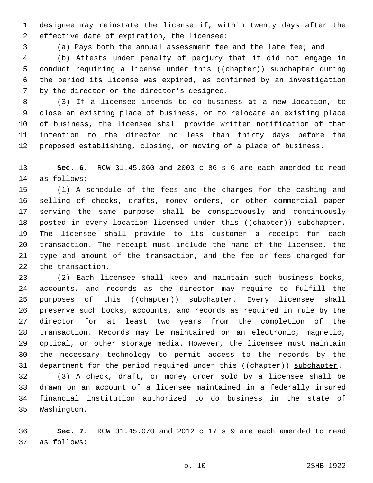designee may reinstate the license if, within twenty days after the 2 effective date of expiration, the licensee:

(a) Pays both the annual assessment fee and the late fee; and

 (b) Attests under penalty of perjury that it did not engage in 5 conduct requiring a license under this ((chapter)) subchapter during the period its license was expired, as confirmed by an investigation 7 by the director or the director's designee.

 (3) If a licensee intends to do business at a new location, to close an existing place of business, or to relocate an existing place of business, the licensee shall provide written notification of that intention to the director no less than thirty days before the proposed establishing, closing, or moving of a place of business.

 **Sec. 6.** RCW 31.45.060 and 2003 c 86 s 6 are each amended to read 14 as follows:

 (1) A schedule of the fees and the charges for the cashing and selling of checks, drafts, money orders, or other commercial paper serving the same purpose shall be conspicuously and continuously 18 posted in every location licensed under this ((ehapter)) subchapter. The licensee shall provide to its customer a receipt for each transaction. The receipt must include the name of the licensee, the type and amount of the transaction, and the fee or fees charged for 22 the transaction.

 (2) Each licensee shall keep and maintain such business books, accounts, and records as the director may require to fulfill the 25 purposes of this ((chapter)) subchapter. Every licensee shall preserve such books, accounts, and records as required in rule by the director for at least two years from the completion of the transaction. Records may be maintained on an electronic, magnetic, optical, or other storage media. However, the licensee must maintain the necessary technology to permit access to the records by the 31 department for the period required under this ((chapter)) subchapter.

 (3) A check, draft, or money order sold by a licensee shall be drawn on an account of a licensee maintained in a federally insured financial institution authorized to do business in the state of 35 Washington.

 **Sec. 7.** RCW 31.45.070 and 2012 c 17 s 9 are each amended to read 37 as follows: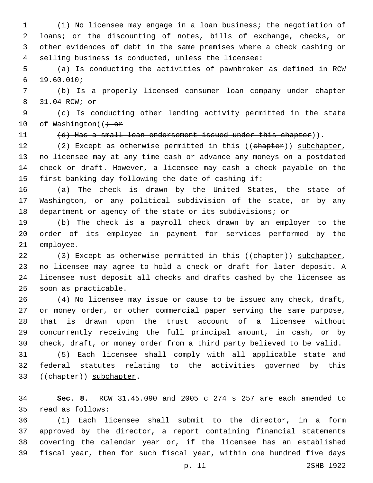(1) No licensee may engage in a loan business; the negotiation of loans; or the discounting of notes, bills of exchange, checks, or other evidences of debt in the same premises where a check cashing or selling business is conducted, unless the licensee:

 (a) Is conducting the activities of pawnbroker as defined in RCW 19.60.010;6

 (b) Is a properly licensed consumer loan company under chapter 31.04 RCW; or

 (c) Is conducting other lending activity permitted in the state 10 of Washington( $\overline{t}$  or

11 (d) Has a small loan endorsement issued under this chapter)).

12 (2) Except as otherwise permitted in this ((chapter)) subchapter, no licensee may at any time cash or advance any moneys on a postdated check or draft. However, a licensee may cash a check payable on the first banking day following the date of cashing if:

 (a) The check is drawn by the United States, the state of Washington, or any political subdivision of the state, or by any department or agency of the state or its subdivisions; or

 (b) The check is a payroll check drawn by an employer to the order of its employee in payment for services performed by the 21 employee.

22 (3) Except as otherwise permitted in this ((chapter)) subchapter, no licensee may agree to hold a check or draft for later deposit. A licensee must deposit all checks and drafts cashed by the licensee as 25 soon as practicable.

 (4) No licensee may issue or cause to be issued any check, draft, or money order, or other commercial paper serving the same purpose, that is drawn upon the trust account of a licensee without concurrently receiving the full principal amount, in cash, or by check, draft, or money order from a third party believed to be valid.

 (5) Each licensee shall comply with all applicable state and federal statutes relating to the activities governed by this 33 ((chapter)) subchapter.

 **Sec. 8.** RCW 31.45.090 and 2005 c 274 s 257 are each amended to 35 read as follows:

 (1) Each licensee shall submit to the director, in a form approved by the director, a report containing financial statements covering the calendar year or, if the licensee has an established fiscal year, then for such fiscal year, within one hundred five days

p. 11 2SHB 1922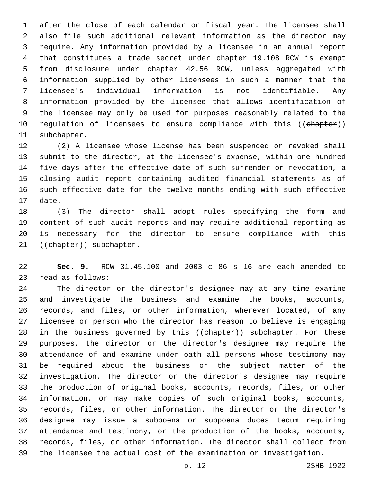after the close of each calendar or fiscal year. The licensee shall also file such additional relevant information as the director may require. Any information provided by a licensee in an annual report that constitutes a trade secret under chapter 19.108 RCW is exempt from disclosure under chapter 42.56 RCW, unless aggregated with information supplied by other licensees in such a manner that the licensee's individual information is not identifiable. Any information provided by the licensee that allows identification of the licensee may only be used for purposes reasonably related to the 10 regulation of licensees to ensure compliance with this ((chapter)) 11 subchapter.

 (2) A licensee whose license has been suspended or revoked shall submit to the director, at the licensee's expense, within one hundred five days after the effective date of such surrender or revocation, a closing audit report containing audited financial statements as of such effective date for the twelve months ending with such effective 17 date.

 (3) The director shall adopt rules specifying the form and content of such audit reports and may require additional reporting as is necessary for the director to ensure compliance with this 21 ((chapter)) subchapter.

 **Sec. 9.** RCW 31.45.100 and 2003 c 86 s 16 are each amended to 23 read as follows:

 The director or the director's designee may at any time examine and investigate the business and examine the books, accounts, records, and files, or other information, wherever located, of any licensee or person who the director has reason to believe is engaging 28 in the business governed by this ((chapter)) subchapter. For these purposes, the director or the director's designee may require the attendance of and examine under oath all persons whose testimony may be required about the business or the subject matter of the investigation. The director or the director's designee may require the production of original books, accounts, records, files, or other information, or may make copies of such original books, accounts, records, files, or other information. The director or the director's designee may issue a subpoena or subpoena duces tecum requiring attendance and testimony, or the production of the books, accounts, records, files, or other information. The director shall collect from the licensee the actual cost of the examination or investigation.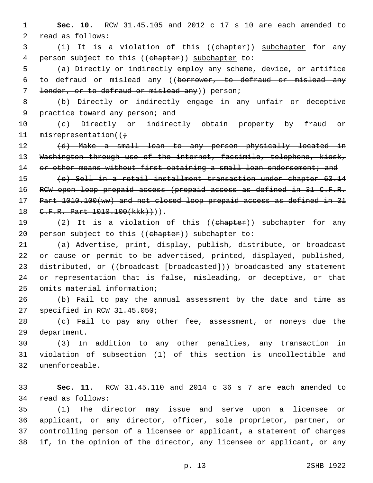1 **Sec. 10.** RCW 31.45.105 and 2012 c 17 s 10 are each amended to 2 read as follows:

3 (1) It is a violation of this ((chapter)) subchapter for any 4 person subject to this ((chapter)) subchapter to:

5 (a) Directly or indirectly employ any scheme, device, or artifice 6 to defraud or mislead any ((borrower, to defraud or mislead any 7 lender, or to defraud or mislead any) person;

8 (b) Directly or indirectly engage in any unfair or deceptive 9 practice toward any person; and

10 (c) Directly or indirectly obtain property by fraud or 11 misrepresentation( $(i \div)$ 

12 (d) Make a small loan to any person physically located in 13 Washington through use of the internet, facsimile, telephone, kiosk, 14 or other means without first obtaining a small loan endorsement; and

15 (e) Sell in a retail installment transaction under chapter 63.14 16 RCW open loop prepaid access (prepaid access as defined in 31 C.F.R. 17 Part 1010.100(ww) and not closed loop prepaid access as defined in 31 18 C.F.R. Part 1010.100(kkk) +)).

19 (2) It is a violation of this ((chapter)) subchapter for any 20 person subject to this  $((ehapter))$  subchapter to:

21 (a) Advertise, print, display, publish, distribute, or broadcast 22 or cause or permit to be advertised, printed, displayed, published, 23 distributed, or ((broadcast [broadcasted])) broadcasted any statement 24 or representation that is false, misleading, or deceptive, or that 25 omits material information;

26 (b) Fail to pay the annual assessment by the date and time as 27 specified in RCW 31.45.050;

28 (c) Fail to pay any other fee, assessment, or moneys due the 29 department.

30 (3) In addition to any other penalties, any transaction in 31 violation of subsection (1) of this section is uncollectible and unenforceable.32

33 **Sec. 11.** RCW 31.45.110 and 2014 c 36 s 7 are each amended to 34 read as follows:

 (1) The director may issue and serve upon a licensee or applicant, or any director, officer, sole proprietor, partner, or controlling person of a licensee or applicant, a statement of charges if, in the opinion of the director, any licensee or applicant, or any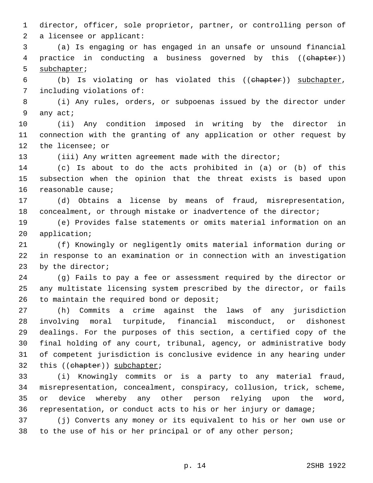director, officer, sole proprietor, partner, or controlling person of 2 a licensee or applicant:

 (a) Is engaging or has engaged in an unsafe or unsound financial practice in conducting a business governed by this ((chapter)) 5 subchapter;

 (b) Is violating or has violated this ((chapter)) subchapter, 7 including violations of:

 (i) Any rules, orders, or subpoenas issued by the director under 9 any act;

 (ii) Any condition imposed in writing by the director in connection with the granting of any application or other request by 12 the licensee; or

(iii) Any written agreement made with the director;

 (c) Is about to do the acts prohibited in (a) or (b) of this subsection when the opinion that the threat exists is based upon 16 reasonable cause;

 (d) Obtains a license by means of fraud, misrepresentation, concealment, or through mistake or inadvertence of the director;

 (e) Provides false statements or omits material information on an 20 application;

 (f) Knowingly or negligently omits material information during or in response to an examination or in connection with an investigation 23 by the director;

 (g) Fails to pay a fee or assessment required by the director or any multistate licensing system prescribed by the director, or fails 26 to maintain the required bond or deposit;

 (h) Commits a crime against the laws of any jurisdiction involving moral turpitude, financial misconduct, or dishonest dealings. For the purposes of this section, a certified copy of the final holding of any court, tribunal, agency, or administrative body of competent jurisdiction is conclusive evidence in any hearing under 32 this ((chapter)) subchapter;

 (i) Knowingly commits or is a party to any material fraud, misrepresentation, concealment, conspiracy, collusion, trick, scheme, or device whereby any other person relying upon the word, representation, or conduct acts to his or her injury or damage;

 (j) Converts any money or its equivalent to his or her own use or 38 to the use of his or her principal or of any other person;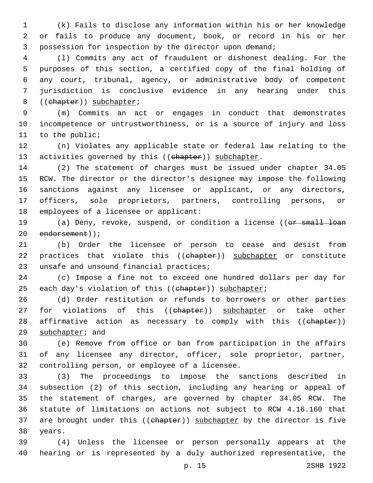(k) Fails to disclose any information within his or her knowledge or fails to produce any document, book, or record in his or her possession for inspection by the director upon demand;

 (l) Commits any act of fraudulent or dishonest dealing. For the purposes of this section, a certified copy of the final holding of any court, tribunal, agency, or administrative body of competent jurisdiction is conclusive evidence in any hearing under this 8 ((chapter)) subchapter;

 (m) Commits an act or engages in conduct that demonstrates incompetence or untrustworthiness, or is a source of injury and loss 11 to the public;

 (n) Violates any applicable state or federal law relating to the 13 activities governed by this ((chapter)) subchapter.

 (2) The statement of charges must be issued under chapter 34.05 RCW. The director or the director's designee may impose the following sanctions against any licensee or applicant, or any directors, officers, sole proprietors, partners, controlling persons, or 18 employees of a licensee or applicant:

19 (a) Deny, revoke, suspend, or condition a license ((or small loan 20 endorsement));

 (b) Order the licensee or person to cease and desist from 22 practices that violate this ((chapter)) subchapter or constitute 23 unsafe and unsound financial practices;

 (c) Impose a fine not to exceed one hundred dollars per day for 25 each day's violation of this ((ehapter)) subchapter;

 (d) Order restitution or refunds to borrowers or other parties 27 for violations of this ((chapter)) subchapter or take other 28 affirmative action as necessary to comply with this ((chapter)) 29 subchapter; and

 (e) Remove from office or ban from participation in the affairs of any licensee any director, officer, sole proprietor, partner, 32 controlling person, or employee of a licensee.

 (3) The proceedings to impose the sanctions described in subsection (2) of this section, including any hearing or appeal of the statement of charges, are governed by chapter 34.05 RCW. The statute of limitations on actions not subject to RCW 4.16.160 that 37 are brought under this ((chapter)) subchapter by the director is five 38 years.

 (4) Unless the licensee or person personally appears at the hearing or is represented by a duly authorized representative, the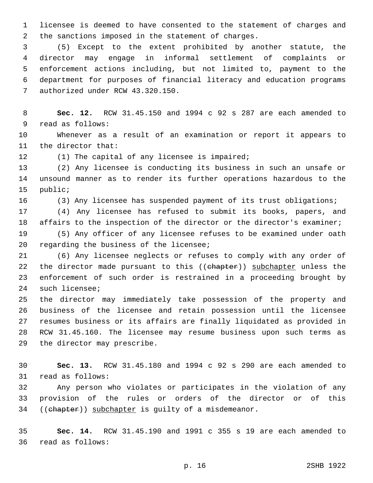1 licensee is deemed to have consented to the statement of charges and 2 the sanctions imposed in the statement of charges.

 (5) Except to the extent prohibited by another statute, the director may engage in informal settlement of complaints or enforcement actions including, but not limited to, payment to the department for purposes of financial literacy and education programs 7 authorized under RCW 43.320.150.

8 **Sec. 12.** RCW 31.45.150 and 1994 c 92 s 287 are each amended to 9 read as follows:

10 Whenever as a result of an examination or report it appears to 11 the director that:

12 (1) The capital of any licensee is impaired;

13 (2) Any licensee is conducting its business in such an unsafe or 14 unsound manner as to render its further operations hazardous to the 15 public;

16 (3) Any licensee has suspended payment of its trust obligations;

17 (4) Any licensee has refused to submit its books, papers, and 18 affairs to the inspection of the director or the director's examiner;

19 (5) Any officer of any licensee refuses to be examined under oath 20 regarding the business of the licensee;

21 (6) Any licensee neglects or refuses to comply with any order of 22 the director made pursuant to this ((chapter)) subchapter unless the 23 enforcement of such order is restrained in a proceeding brought by 24 such licensee;

 the director may immediately take possession of the property and business of the licensee and retain possession until the licensee resumes business or its affairs are finally liquidated as provided in RCW 31.45.160. The licensee may resume business upon such terms as 29 the director may prescribe.

30 **Sec. 13.** RCW 31.45.180 and 1994 c 92 s 290 are each amended to 31 read as follows:

32 Any person who violates or participates in the violation of any 33 provision of the rules or orders of the director or of this 34 ((chapter)) subchapter is guilty of a misdemeanor.

35 **Sec. 14.** RCW 31.45.190 and 1991 c 355 s 19 are each amended to 36 read as follows: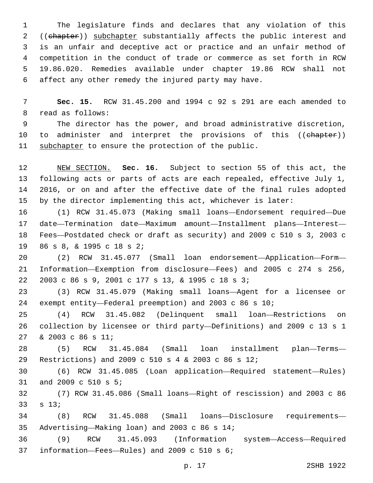The legislature finds and declares that any violation of this 2 ((ehapter)) subchapter substantially affects the public interest and is an unfair and deceptive act or practice and an unfair method of competition in the conduct of trade or commerce as set forth in RCW 19.86.020. Remedies available under chapter 19.86 RCW shall not affect any other remedy the injured party may have.

 **Sec. 15.** RCW 31.45.200 and 1994 c 92 s 291 are each amended to 8 read as follows:

 The director has the power, and broad administrative discretion, 10 to administer and interpret the provisions of this ((chapter)) 11 subchapter to ensure the protection of the public.

 NEW SECTION. **Sec. 16.** Subject to section 55 of this act, the following acts or parts of acts are each repealed, effective July 1, 2016, or on and after the effective date of the final rules adopted by the director implementing this act, whichever is later:

 (1) RCW 31.45.073 (Making small loans—Endorsement required—Due date—Termination date—Maximum amount—Installment plans—Interest— Fees—Postdated check or draft as security) and 2009 c 510 s 3, 2003 c 19 86 s 8, & 1995 c 18 s 2;

 (2) RCW 31.45.077 (Small loan endorsement—Application—Form— Information—Exemption from disclosure—Fees) and 2005 c 274 s 256, 22 2003 c 86 s 9, 2001 c 177 s 13, & 1995 c 18 s 3;

 (3) RCW 31.45.079 (Making small loans—Agent for a licensee or exempt entity—Federal preemption) and 2003 c 86 s 10;

 (4) RCW 31.45.082 (Delinquent small loan—Restrictions on collection by licensee or third party—Definitions) and 2009 c 13 s 1 27 & 2003 c 86 s 11;

 (5) RCW 31.45.084 (Small loan installment plan—Terms— Restrictions) and 2009 c 510 s 4 & 2003 c 86 s 12;

 (6) RCW 31.45.085 (Loan application—Required statement—Rules) 31 and 2009 c 510 s 5;

 (7) RCW 31.45.086 (Small loans—Right of rescission) and 2003 c 86  $s$  13;

 (8) RCW 31.45.088 (Small loans—Disclosure requirements— Advertising—Making loan) and 2003 c 86 s 14;35

 (9) RCW 31.45.093 (Information system—Access—Required 37 information—Fees—Rules) and 2009 c 510 s 6;

p. 17 2SHB 1922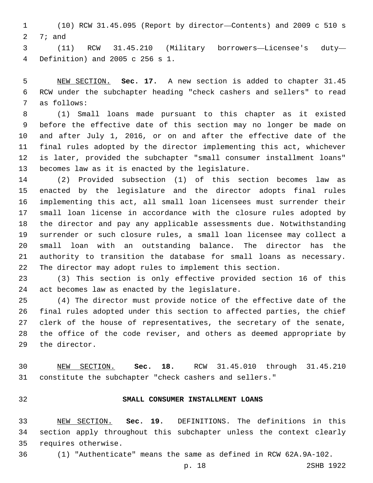(10) RCW 31.45.095 (Report by director—Contents) and 2009 c 510 s  $7;$  and

 (11) RCW 31.45.210 (Military borrowers—Licensee's duty— Definition) and 2005 c 256 s 1.4

 NEW SECTION. **Sec. 17.** A new section is added to chapter 31.45 RCW under the subchapter heading "check cashers and sellers" to read 7 as follows:

 (1) Small loans made pursuant to this chapter as it existed before the effective date of this section may no longer be made on and after July 1, 2016, or on and after the effective date of the final rules adopted by the director implementing this act, whichever is later, provided the subchapter "small consumer installment loans" 13 becomes law as it is enacted by the legislature.

 (2) Provided subsection (1) of this section becomes law as enacted by the legislature and the director adopts final rules implementing this act, all small loan licensees must surrender their small loan license in accordance with the closure rules adopted by the director and pay any applicable assessments due. Notwithstanding surrender or such closure rules, a small loan licensee may collect a small loan with an outstanding balance. The director has the authority to transition the database for small loans as necessary. The director may adopt rules to implement this section.

 (3) This section is only effective provided section 16 of this 24 act becomes law as enacted by the legislature.

 (4) The director must provide notice of the effective date of the final rules adopted under this section to affected parties, the chief clerk of the house of representatives, the secretary of the senate, the office of the code reviser, and others as deemed appropriate by 29 the director.

 NEW SECTION. **Sec. 18.** RCW 31.45.010 through 31.45.210 constitute the subchapter "check cashers and sellers."

## **SMALL CONSUMER INSTALLMENT LOANS**

 NEW SECTION. **Sec. 19.** DEFINITIONS. The definitions in this section apply throughout this subchapter unless the context clearly requires otherwise.

(1) "Authenticate" means the same as defined in RCW 62A.9A-102.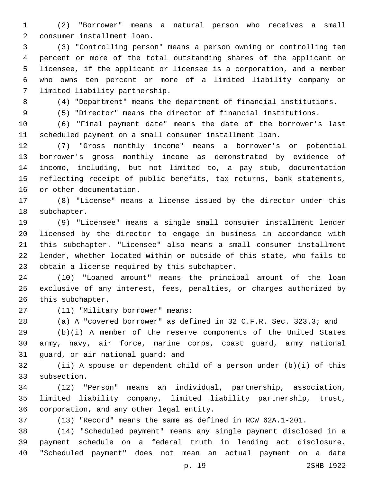(2) "Borrower" means a natural person who receives a small consumer installment loan.2

 (3) "Controlling person" means a person owning or controlling ten percent or more of the total outstanding shares of the applicant or licensee, if the applicant or licensee is a corporation, and a member who owns ten percent or more of a limited liability company or 7 limited liability partnership.

(4) "Department" means the department of financial institutions.

(5) "Director" means the director of financial institutions.

 (6) "Final payment date" means the date of the borrower's last scheduled payment on a small consumer installment loan.

 (7) "Gross monthly income" means a borrower's or potential borrower's gross monthly income as demonstrated by evidence of income, including, but not limited to, a pay stub, documentation reflecting receipt of public benefits, tax returns, bank statements, 16 or other documentation.

 (8) "License" means a license issued by the director under this 18 subchapter.

 (9) "Licensee" means a single small consumer installment lender licensed by the director to engage in business in accordance with this subchapter. "Licensee" also means a small consumer installment lender, whether located within or outside of this state, who fails to 23 obtain a license required by this subchapter.

 (10) "Loaned amount" means the principal amount of the loan exclusive of any interest, fees, penalties, or charges authorized by 26 this subchapter.

27 (11) "Military borrower" means:

(a) A "covered borrower" as defined in 32 C.F.R. Sec. 323.3; and

 (b)(i) A member of the reserve components of the United States army, navy, air force, marine corps, coast guard, army national 31 guard, or air national guard; and

 (ii) A spouse or dependent child of a person under (b)(i) of this 33 subsection.

 (12) "Person" means an individual, partnership, association, limited liability company, limited liability partnership, trust, 36 corporation, and any other legal entity.

(13) "Record" means the same as defined in RCW 62A.1-201.

 (14) "Scheduled payment" means any single payment disclosed in a payment schedule on a federal truth in lending act disclosure. "Scheduled payment" does not mean an actual payment on a date

p. 19 2SHB 1922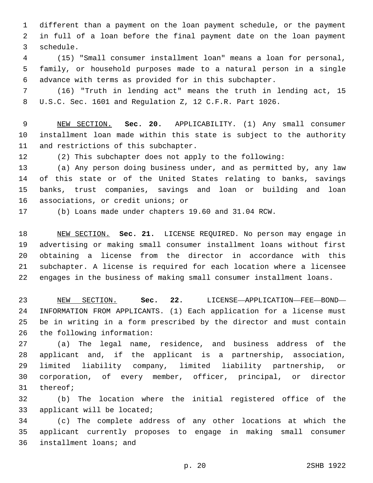different than a payment on the loan payment schedule, or the payment in full of a loan before the final payment date on the loan payment 3 schedule.

 (15) "Small consumer installment loan" means a loan for personal, family, or household purposes made to a natural person in a single advance with terms as provided for in this subchapter.

 (16) "Truth in lending act" means the truth in lending act, 15 U.S.C. Sec. 1601 and Regulation Z, 12 C.F.R. Part 1026.

 NEW SECTION. **Sec. 20.** APPLICABILITY. (1) Any small consumer installment loan made within this state is subject to the authority and restrictions of this subchapter.

(2) This subchapter does not apply to the following:

 (a) Any person doing business under, and as permitted by, any law of this state or of the United States relating to banks, savings banks, trust companies, savings and loan or building and loan 16 associations, or credit unions; or

(b) Loans made under chapters 19.60 and 31.04 RCW.

 NEW SECTION. **Sec. 21.** LICENSE REQUIRED. No person may engage in advertising or making small consumer installment loans without first obtaining a license from the director in accordance with this subchapter. A license is required for each location where a licensee engages in the business of making small consumer installment loans.

 NEW SECTION. **Sec. 22.** LICENSE—APPLICATION—FEE—BOND— INFORMATION FROM APPLICANTS. (1) Each application for a license must be in writing in a form prescribed by the director and must contain the following information:

 (a) The legal name, residence, and business address of the applicant and, if the applicant is a partnership, association, limited liability company, limited liability partnership, or corporation, of every member, officer, principal, or director 31 thereof;

 (b) The location where the initial registered office of the 33 applicant will be located;

 (c) The complete address of any other locations at which the applicant currently proposes to engage in making small consumer 36 installment loans; and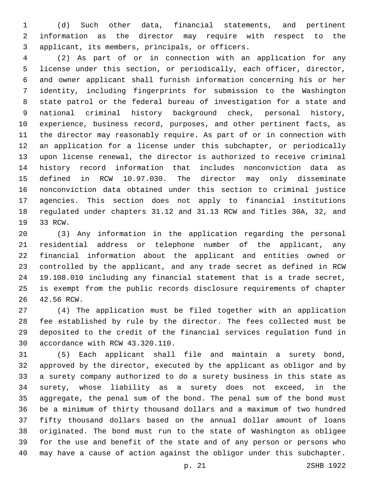(d) Such other data, financial statements, and pertinent information as the director may require with respect to the 3 applicant, its members, principals, or officers.

 (2) As part of or in connection with an application for any license under this section, or periodically, each officer, director, and owner applicant shall furnish information concerning his or her identity, including fingerprints for submission to the Washington state patrol or the federal bureau of investigation for a state and national criminal history background check, personal history, experience, business record, purposes, and other pertinent facts, as the director may reasonably require. As part of or in connection with an application for a license under this subchapter, or periodically upon license renewal, the director is authorized to receive criminal history record information that includes nonconviction data as defined in RCW 10.97.030. The director may only disseminate nonconviction data obtained under this section to criminal justice agencies. This section does not apply to financial institutions regulated under chapters 31.12 and 31.13 RCW and Titles 30A, 32, and 19 33 RCW.

 (3) Any information in the application regarding the personal residential address or telephone number of the applicant, any financial information about the applicant and entities owned or controlled by the applicant, and any trade secret as defined in RCW 19.108.010 including any financial statement that is a trade secret, is exempt from the public records disclosure requirements of chapter 26 42.56 RCW.

 (4) The application must be filed together with an application fee established by rule by the director. The fees collected must be deposited to the credit of the financial services regulation fund in 30 accordance with RCW 43.320.110.

 (5) Each applicant shall file and maintain a surety bond, approved by the director, executed by the applicant as obligor and by a surety company authorized to do a surety business in this state as surety, whose liability as a surety does not exceed, in the aggregate, the penal sum of the bond. The penal sum of the bond must be a minimum of thirty thousand dollars and a maximum of two hundred fifty thousand dollars based on the annual dollar amount of loans originated. The bond must run to the state of Washington as obligee for the use and benefit of the state and of any person or persons who may have a cause of action against the obligor under this subchapter.

p. 21 2SHB 1922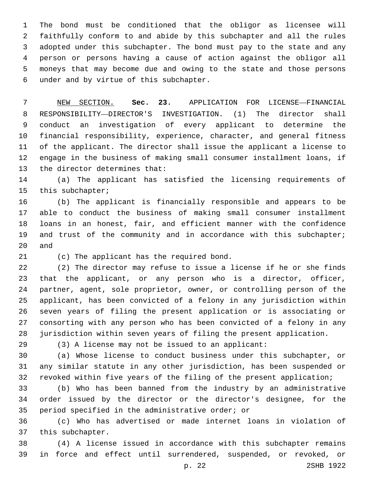The bond must be conditioned that the obligor as licensee will faithfully conform to and abide by this subchapter and all the rules adopted under this subchapter. The bond must pay to the state and any person or persons having a cause of action against the obligor all moneys that may become due and owing to the state and those persons under and by virtue of this subchapter.6

 NEW SECTION. **Sec. 23.** APPLICATION FOR LICENSE—FINANCIAL RESPONSIBILITY—DIRECTOR'S INVESTIGATION. (1) The director shall conduct an investigation of every applicant to determine the financial responsibility, experience, character, and general fitness of the applicant. The director shall issue the applicant a license to engage in the business of making small consumer installment loans, if the director determines that:

 (a) The applicant has satisfied the licensing requirements of 15 this subchapter;

 (b) The applicant is financially responsible and appears to be able to conduct the business of making small consumer installment loans in an honest, fair, and efficient manner with the confidence 19 and trust of the community and in accordance with this subchapter; and

21 (c) The applicant has the required bond.

 (2) The director may refuse to issue a license if he or she finds that the applicant, or any person who is a director, officer, partner, agent, sole proprietor, owner, or controlling person of the applicant, has been convicted of a felony in any jurisdiction within seven years of filing the present application or is associating or consorting with any person who has been convicted of a felony in any jurisdiction within seven years of filing the present application.

(3) A license may not be issued to an applicant:

 (a) Whose license to conduct business under this subchapter, or any similar statute in any other jurisdiction, has been suspended or revoked within five years of the filing of the present application;

 (b) Who has been banned from the industry by an administrative order issued by the director or the director's designee, for the 35 period specified in the administrative order; or

 (c) Who has advertised or made internet loans in violation of 37 this subchapter.

 (4) A license issued in accordance with this subchapter remains in force and effect until surrendered, suspended, or revoked, or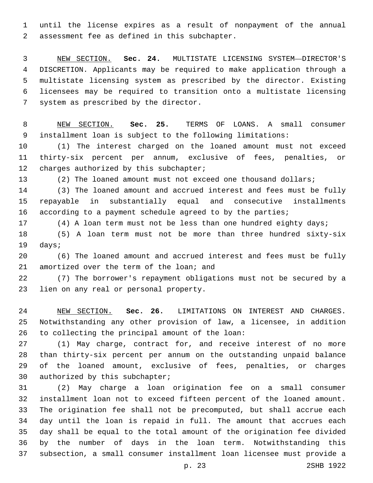until the license expires as a result of nonpayment of the annual 2 assessment fee as defined in this subchapter.

 NEW SECTION. **Sec. 24.** MULTISTATE LICENSING SYSTEM—DIRECTOR'S DISCRETION. Applicants may be required to make application through a multistate licensing system as prescribed by the director. Existing licensees may be required to transition onto a multistate licensing system as prescribed by the director.

 NEW SECTION. **Sec. 25.** TERMS OF LOANS. A small consumer installment loan is subject to the following limitations:

 (1) The interest charged on the loaned amount must not exceed thirty-six percent per annum, exclusive of fees, penalties, or 12 charges authorized by this subchapter;

(2) The loaned amount must not exceed one thousand dollars;

 (3) The loaned amount and accrued interest and fees must be fully repayable in substantially equal and consecutive installments according to a payment schedule agreed to by the parties;

(4) A loan term must not be less than one hundred eighty days;

 (5) A loan term must not be more than three hundred sixty-six 19 days;

 (6) The loaned amount and accrued interest and fees must be fully 21 amortized over the term of the loan; and

 (7) The borrower's repayment obligations must not be secured by a 23 lien on any real or personal property.

 NEW SECTION. **Sec. 26.** LIMITATIONS ON INTEREST AND CHARGES. Notwithstanding any other provision of law, a licensee, in addition to collecting the principal amount of the loan:

 (1) May charge, contract for, and receive interest of no more than thirty-six percent per annum on the outstanding unpaid balance of the loaned amount, exclusive of fees, penalties, or charges 30 authorized by this subchapter;

 (2) May charge a loan origination fee on a small consumer installment loan not to exceed fifteen percent of the loaned amount. The origination fee shall not be precomputed, but shall accrue each day until the loan is repaid in full. The amount that accrues each day shall be equal to the total amount of the origination fee divided by the number of days in the loan term. Notwithstanding this subsection, a small consumer installment loan licensee must provide a

p. 23 2SHB 1922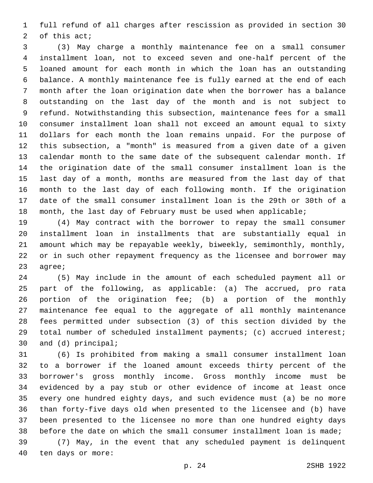full refund of all charges after rescission as provided in section 30 2 of this  $acti$ 

 (3) May charge a monthly maintenance fee on a small consumer installment loan, not to exceed seven and one-half percent of the loaned amount for each month in which the loan has an outstanding balance. A monthly maintenance fee is fully earned at the end of each month after the loan origination date when the borrower has a balance outstanding on the last day of the month and is not subject to refund. Notwithstanding this subsection, maintenance fees for a small consumer installment loan shall not exceed an amount equal to sixty dollars for each month the loan remains unpaid. For the purpose of this subsection, a "month" is measured from a given date of a given calendar month to the same date of the subsequent calendar month. If the origination date of the small consumer installment loan is the last day of a month, months are measured from the last day of that month to the last day of each following month. If the origination date of the small consumer installment loan is the 29th or 30th of a month, the last day of February must be used when applicable;

 (4) May contract with the borrower to repay the small consumer installment loan in installments that are substantially equal in amount which may be repayable weekly, biweekly, semimonthly, monthly, or in such other repayment frequency as the licensee and borrower may 23 agree;

 (5) May include in the amount of each scheduled payment all or part of the following, as applicable: (a) The accrued, pro rata portion of the origination fee; (b) a portion of the monthly maintenance fee equal to the aggregate of all monthly maintenance fees permitted under subsection (3) of this section divided by the total number of scheduled installment payments; (c) accrued interest; 30 and (d) principal;

 (6) Is prohibited from making a small consumer installment loan to a borrower if the loaned amount exceeds thirty percent of the borrower's gross monthly income. Gross monthly income must be evidenced by a pay stub or other evidence of income at least once every one hundred eighty days, and such evidence must (a) be no more than forty-five days old when presented to the licensee and (b) have been presented to the licensee no more than one hundred eighty days before the date on which the small consumer installment loan is made;

 (7) May, in the event that any scheduled payment is delinquent 40 ten days or more: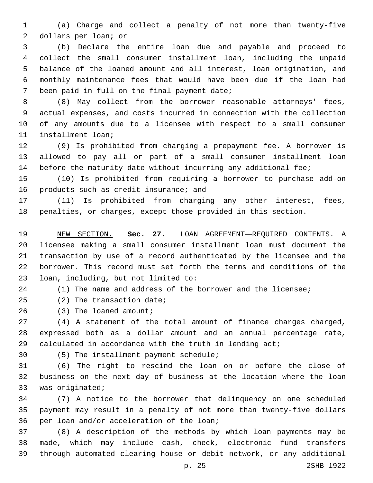(a) Charge and collect a penalty of not more than twenty-five 2 dollars per loan; or

 (b) Declare the entire loan due and payable and proceed to collect the small consumer installment loan, including the unpaid balance of the loaned amount and all interest, loan origination, and monthly maintenance fees that would have been due if the loan had 7 been paid in full on the final payment date;

 (8) May collect from the borrower reasonable attorneys' fees, actual expenses, and costs incurred in connection with the collection of any amounts due to a licensee with respect to a small consumer 11 installment loan;

 (9) Is prohibited from charging a prepayment fee. A borrower is allowed to pay all or part of a small consumer installment loan before the maturity date without incurring any additional fee;

 (10) Is prohibited from requiring a borrower to purchase add-on 16 products such as credit insurance; and

 (11) Is prohibited from charging any other interest, fees, penalties, or charges, except those provided in this section.

 NEW SECTION. **Sec. 27.** LOAN AGREEMENT—REQUIRED CONTENTS. A licensee making a small consumer installment loan must document the transaction by use of a record authenticated by the licensee and the borrower. This record must set forth the terms and conditions of the loan, including, but not limited to:

(1) The name and address of the borrower and the licensee;

25 (2) The transaction date;

26 (3) The loaned amount;

 (4) A statement of the total amount of finance charges charged, expressed both as a dollar amount and an annual percentage rate, calculated in accordance with the truth in lending act;

(5) The installment payment schedule;30

 (6) The right to rescind the loan on or before the close of business on the next day of business at the location where the loan 33 was originated;

 (7) A notice to the borrower that delinquency on one scheduled payment may result in a penalty of not more than twenty-five dollars 36 per loan and/or acceleration of the loan;

 (8) A description of the methods by which loan payments may be made, which may include cash, check, electronic fund transfers through automated clearing house or debit network, or any additional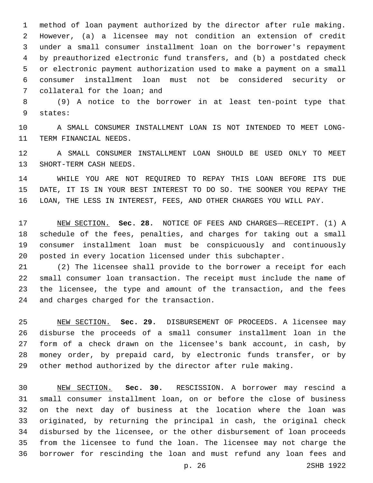method of loan payment authorized by the director after rule making. However, (a) a licensee may not condition an extension of credit under a small consumer installment loan on the borrower's repayment by preauthorized electronic fund transfers, and (b) a postdated check or electronic payment authorization used to make a payment on a small consumer installment loan must not be considered security or 7 collateral for the loan; and

 (9) A notice to the borrower in at least ten-point type that 9 states:

 A SMALL CONSUMER INSTALLMENT LOAN IS NOT INTENDED TO MEET LONG-11 TERM FINANCIAL NEEDS.

 A SMALL CONSUMER INSTALLMENT LOAN SHOULD BE USED ONLY TO MEET 13 SHORT-TERM CASH NEEDS.

 WHILE YOU ARE NOT REQUIRED TO REPAY THIS LOAN BEFORE ITS DUE DATE, IT IS IN YOUR BEST INTEREST TO DO SO. THE SOONER YOU REPAY THE LOAN, THE LESS IN INTEREST, FEES, AND OTHER CHARGES YOU WILL PAY.

 NEW SECTION. **Sec. 28.** NOTICE OF FEES AND CHARGES—RECEIPT. (1) A schedule of the fees, penalties, and charges for taking out a small consumer installment loan must be conspicuously and continuously posted in every location licensed under this subchapter.

 (2) The licensee shall provide to the borrower a receipt for each small consumer loan transaction. The receipt must include the name of the licensee, the type and amount of the transaction, and the fees 24 and charges charged for the transaction.

 NEW SECTION. **Sec. 29.** DISBURSEMENT OF PROCEEDS. A licensee may disburse the proceeds of a small consumer installment loan in the form of a check drawn on the licensee's bank account, in cash, by money order, by prepaid card, by electronic funds transfer, or by other method authorized by the director after rule making.

 NEW SECTION. **Sec. 30.** RESCISSION. A borrower may rescind a small consumer installment loan, on or before the close of business on the next day of business at the location where the loan was originated, by returning the principal in cash, the original check disbursed by the licensee, or the other disbursement of loan proceeds from the licensee to fund the loan. The licensee may not charge the borrower for rescinding the loan and must refund any loan fees and

p. 26 2SHB 1922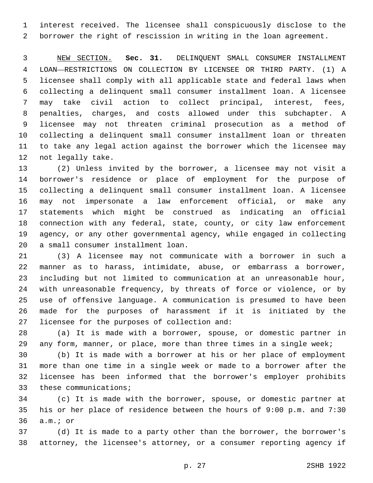interest received. The licensee shall conspicuously disclose to the borrower the right of rescission in writing in the loan agreement.

 NEW SECTION. **Sec. 31.** DELINQUENT SMALL CONSUMER INSTALLMENT LOAN—RESTRICTIONS ON COLLECTION BY LICENSEE OR THIRD PARTY. (1) A licensee shall comply with all applicable state and federal laws when collecting a delinquent small consumer installment loan. A licensee may take civil action to collect principal, interest, fees, penalties, charges, and costs allowed under this subchapter. A licensee may not threaten criminal prosecution as a method of collecting a delinquent small consumer installment loan or threaten to take any legal action against the borrower which the licensee may not legally take.

 (2) Unless invited by the borrower, a licensee may not visit a borrower's residence or place of employment for the purpose of collecting a delinquent small consumer installment loan. A licensee may not impersonate a law enforcement official, or make any statements which might be construed as indicating an official connection with any federal, state, county, or city law enforcement agency, or any other governmental agency, while engaged in collecting 20 a small consumer installment loan.

 (3) A licensee may not communicate with a borrower in such a manner as to harass, intimidate, abuse, or embarrass a borrower, including but not limited to communication at an unreasonable hour, with unreasonable frequency, by threats of force or violence, or by use of offensive language. A communication is presumed to have been made for the purposes of harassment if it is initiated by the 27 licensee for the purposes of collection and:

 (a) It is made with a borrower, spouse, or domestic partner in any form, manner, or place, more than three times in a single week;

 (b) It is made with a borrower at his or her place of employment more than one time in a single week or made to a borrower after the licensee has been informed that the borrower's employer prohibits 33 these communications;

 (c) It is made with the borrower, spouse, or domestic partner at his or her place of residence between the hours of 9:00 p.m. and 7:30 36 a.m.; or

 (d) It is made to a party other than the borrower, the borrower's attorney, the licensee's attorney, or a consumer reporting agency if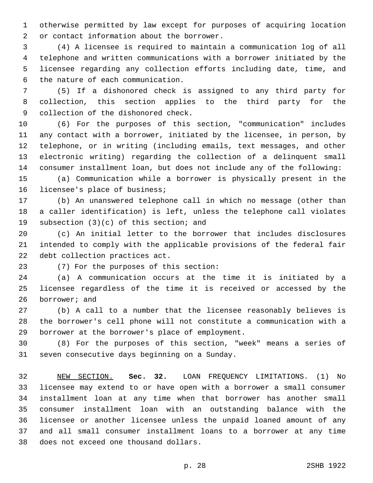otherwise permitted by law except for purposes of acquiring location 2 or contact information about the borrower.

 (4) A licensee is required to maintain a communication log of all telephone and written communications with a borrower initiated by the licensee regarding any collection efforts including date, time, and 6 the nature of each communication.

 (5) If a dishonored check is assigned to any third party for collection, this section applies to the third party for the 9 collection of the dishonored check.

 (6) For the purposes of this section, "communication" includes any contact with a borrower, initiated by the licensee, in person, by telephone, or in writing (including emails, text messages, and other electronic writing) regarding the collection of a delinquent small consumer installment loan, but does not include any of the following:

 (a) Communication while a borrower is physically present in the 16 licensee's place of business;

 (b) An unanswered telephone call in which no message (other than a caller identification) is left, unless the telephone call violates 19 subsection  $(3)(c)$  of this section; and

 (c) An initial letter to the borrower that includes disclosures intended to comply with the applicable provisions of the federal fair 22 debt collection practices act.

23 (7) For the purposes of this section:

 (a) A communication occurs at the time it is initiated by a licensee regardless of the time it is received or accessed by the 26 borrower; and

 (b) A call to a number that the licensee reasonably believes is the borrower's cell phone will not constitute a communication with a 29 borrower at the borrower's place of employment.

 (8) For the purposes of this section, "week" means a series of 31 seven consecutive days beginning on a Sunday.

 NEW SECTION. **Sec. 32.** LOAN FREQUENCY LIMITATIONS. (1) No licensee may extend to or have open with a borrower a small consumer installment loan at any time when that borrower has another small consumer installment loan with an outstanding balance with the licensee or another licensee unless the unpaid loaned amount of any and all small consumer installment loans to a borrower at any time does not exceed one thousand dollars.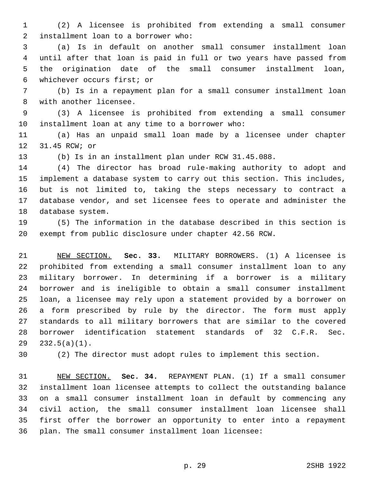(2) A licensee is prohibited from extending a small consumer 2 installment loan to a borrower who:

 (a) Is in default on another small consumer installment loan until after that loan is paid in full or two years have passed from the origination date of the small consumer installment loan, whichever occurs first; or6

 (b) Is in a repayment plan for a small consumer installment loan 8 with another licensee.

 (3) A licensee is prohibited from extending a small consumer 10 installment loan at any time to a borrower who:

 (a) Has an unpaid small loan made by a licensee under chapter 12 31.45 RCW; or

(b) Is in an installment plan under RCW 31.45.088.

 (4) The director has broad rule-making authority to adopt and implement a database system to carry out this section. This includes, but is not limited to, taking the steps necessary to contract a database vendor, and set licensee fees to operate and administer the 18 database system.

 (5) The information in the database described in this section is exempt from public disclosure under chapter 42.56 RCW.

 NEW SECTION. **Sec. 33.** MILITARY BORROWERS. (1) A licensee is prohibited from extending a small consumer installment loan to any military borrower. In determining if a borrower is a military borrower and is ineligible to obtain a small consumer installment loan, a licensee may rely upon a statement provided by a borrower on a form prescribed by rule by the director. The form must apply standards to all military borrowers that are similar to the covered borrower identification statement standards of 32 C.F.R. Sec. 232.5(a)(1).

(2) The director must adopt rules to implement this section.

 NEW SECTION. **Sec. 34.** REPAYMENT PLAN. (1) If a small consumer installment loan licensee attempts to collect the outstanding balance on a small consumer installment loan in default by commencing any civil action, the small consumer installment loan licensee shall first offer the borrower an opportunity to enter into a repayment plan. The small consumer installment loan licensee: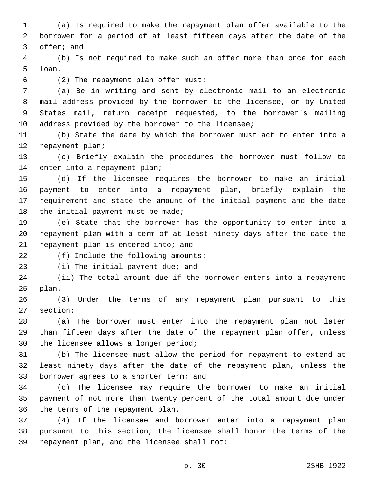1 (a) Is required to make the repayment plan offer available to the 2 borrower for a period of at least fifteen days after the date of the 3 offer; and

4 (b) Is not required to make such an offer more than once for each 5 loan.

(2) The repayment plan offer must:6

 (a) Be in writing and sent by electronic mail to an electronic mail address provided by the borrower to the licensee, or by United States mail, return receipt requested, to the borrower's mailing 10 address provided by the borrower to the licensee;

11 (b) State the date by which the borrower must act to enter into a 12 repayment plan;

13 (c) Briefly explain the procedures the borrower must follow to 14 enter into a repayment plan;

 (d) If the licensee requires the borrower to make an initial payment to enter into a repayment plan, briefly explain the requirement and state the amount of the initial payment and the date 18 the initial payment must be made;

19 (e) State that the borrower has the opportunity to enter into a 20 repayment plan with a term of at least ninety days after the date the 21 repayment plan is entered into; and

22 (f) Include the following amounts:

23 (i) The initial payment due; and

24 (ii) The total amount due if the borrower enters into a repayment 25 plan.

26 (3) Under the terms of any repayment plan pursuant to this 27 section:

28 (a) The borrower must enter into the repayment plan not later 29 than fifteen days after the date of the repayment plan offer, unless 30 the licensee allows a longer period;

31 (b) The licensee must allow the period for repayment to extend at 32 least ninety days after the date of the repayment plan, unless the 33 borrower agrees to a shorter term; and

34 (c) The licensee may require the borrower to make an initial 35 payment of not more than twenty percent of the total amount due under 36 the terms of the repayment plan.

37 (4) If the licensee and borrower enter into a repayment plan 38 pursuant to this section, the licensee shall honor the terms of the 39 repayment plan, and the licensee shall not: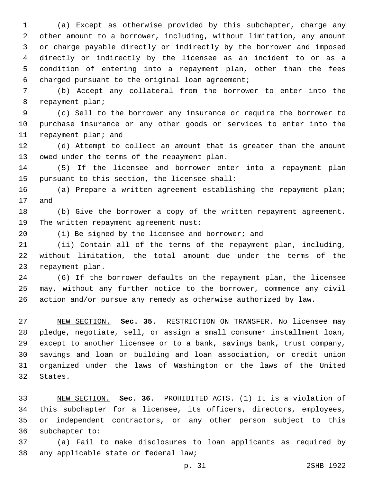(a) Except as otherwise provided by this subchapter, charge any other amount to a borrower, including, without limitation, any amount or charge payable directly or indirectly by the borrower and imposed directly or indirectly by the licensee as an incident to or as a condition of entering into a repayment plan, other than the fees 6 charged pursuant to the original loan agreement;

 (b) Accept any collateral from the borrower to enter into the 8 repayment plan;

 (c) Sell to the borrower any insurance or require the borrower to purchase insurance or any other goods or services to enter into the 11 repayment plan; and

 (d) Attempt to collect an amount that is greater than the amount 13 owed under the terms of the repayment plan.

 (5) If the licensee and borrower enter into a repayment plan 15 pursuant to this section, the licensee shall:

 (a) Prepare a written agreement establishing the repayment plan; 17 and

 (b) Give the borrower a copy of the written repayment agreement. 19 The written repayment agreement must:

(i) Be signed by the licensee and borrower; and

 (ii) Contain all of the terms of the repayment plan, including, without limitation, the total amount due under the terms of the 23 repayment plan.

 (6) If the borrower defaults on the repayment plan, the licensee may, without any further notice to the borrower, commence any civil action and/or pursue any remedy as otherwise authorized by law.

 NEW SECTION. **Sec. 35.** RESTRICTION ON TRANSFER. No licensee may pledge, negotiate, sell, or assign a small consumer installment loan, except to another licensee or to a bank, savings bank, trust company, savings and loan or building and loan association, or credit union organized under the laws of Washington or the laws of the United States.

 NEW SECTION. **Sec. 36.** PROHIBITED ACTS. (1) It is a violation of this subchapter for a licensee, its officers, directors, employees, or independent contractors, or any other person subject to this subchapter to:

 (a) Fail to make disclosures to loan applicants as required by 38 any applicable state or federal law;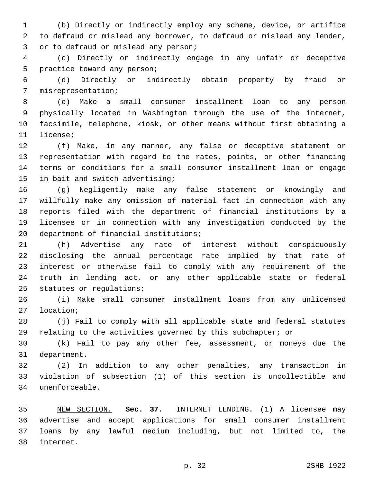(b) Directly or indirectly employ any scheme, device, or artifice to defraud or mislead any borrower, to defraud or mislead any lender, 3 or to defraud or mislead any person;

 (c) Directly or indirectly engage in any unfair or deceptive 5 practice toward any person;

 (d) Directly or indirectly obtain property by fraud or 7 misrepresentation;

 (e) Make a small consumer installment loan to any person physically located in Washington through the use of the internet, facsimile, telephone, kiosk, or other means without first obtaining a 11 license;

 (f) Make, in any manner, any false or deceptive statement or representation with regard to the rates, points, or other financing terms or conditions for a small consumer installment loan or engage 15 in bait and switch advertising;

 (g) Negligently make any false statement or knowingly and willfully make any omission of material fact in connection with any reports filed with the department of financial institutions by a licensee or in connection with any investigation conducted by the 20 department of financial institutions;

 (h) Advertise any rate of interest without conspicuously disclosing the annual percentage rate implied by that rate of interest or otherwise fail to comply with any requirement of the truth in lending act, or any other applicable state or federal 25 statutes or regulations;

 (i) Make small consumer installment loans from any unlicensed 27 location;

 (j) Fail to comply with all applicable state and federal statutes 29 relating to the activities governed by this subchapter; or

 (k) Fail to pay any other fee, assessment, or moneys due the 31 department.

 (2) In addition to any other penalties, any transaction in violation of subsection (1) of this section is uncollectible and unenforceable.34

 NEW SECTION. **Sec. 37.** INTERNET LENDING. (1) A licensee may advertise and accept applications for small consumer installment loans by any lawful medium including, but not limited to, the internet.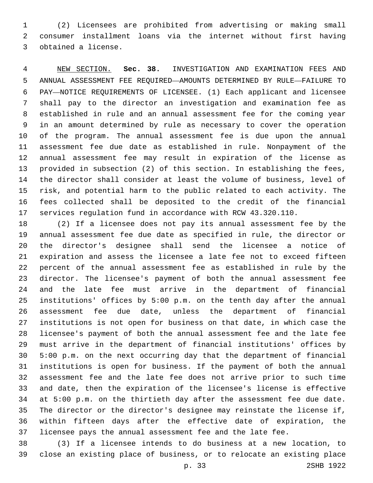(2) Licensees are prohibited from advertising or making small consumer installment loans via the internet without first having 3 obtained a license.

 NEW SECTION. **Sec. 38.** INVESTIGATION AND EXAMINATION FEES AND ANNUAL ASSESSMENT FEE REQUIRED—AMOUNTS DETERMINED BY RULE—FAILURE TO PAY—NOTICE REQUIREMENTS OF LICENSEE. (1) Each applicant and licensee shall pay to the director an investigation and examination fee as established in rule and an annual assessment fee for the coming year in an amount determined by rule as necessary to cover the operation of the program. The annual assessment fee is due upon the annual assessment fee due date as established in rule. Nonpayment of the annual assessment fee may result in expiration of the license as provided in subsection (2) of this section. In establishing the fees, the director shall consider at least the volume of business, level of risk, and potential harm to the public related to each activity. The fees collected shall be deposited to the credit of the financial services regulation fund in accordance with RCW 43.320.110.

 (2) If a licensee does not pay its annual assessment fee by the annual assessment fee due date as specified in rule, the director or the director's designee shall send the licensee a notice of expiration and assess the licensee a late fee not to exceed fifteen percent of the annual assessment fee as established in rule by the director. The licensee's payment of both the annual assessment fee and the late fee must arrive in the department of financial institutions' offices by 5:00 p.m. on the tenth day after the annual assessment fee due date, unless the department of financial institutions is not open for business on that date, in which case the licensee's payment of both the annual assessment fee and the late fee must arrive in the department of financial institutions' offices by 5:00 p.m. on the next occurring day that the department of financial institutions is open for business. If the payment of both the annual assessment fee and the late fee does not arrive prior to such time and date, then the expiration of the licensee's license is effective at 5:00 p.m. on the thirtieth day after the assessment fee due date. The director or the director's designee may reinstate the license if, within fifteen days after the effective date of expiration, the licensee pays the annual assessment fee and the late fee.

 (3) If a licensee intends to do business at a new location, to close an existing place of business, or to relocate an existing place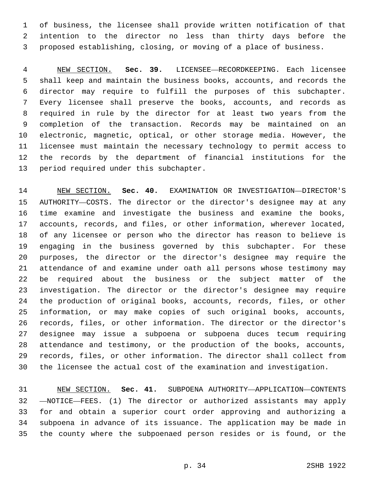of business, the licensee shall provide written notification of that intention to the director no less than thirty days before the proposed establishing, closing, or moving of a place of business.

 NEW SECTION. **Sec. 39.** LICENSEE—RECORDKEEPING. Each licensee shall keep and maintain the business books, accounts, and records the director may require to fulfill the purposes of this subchapter. Every licensee shall preserve the books, accounts, and records as required in rule by the director for at least two years from the completion of the transaction. Records may be maintained on an electronic, magnetic, optical, or other storage media. However, the licensee must maintain the necessary technology to permit access to the records by the department of financial institutions for the period required under this subchapter.

 NEW SECTION. **Sec. 40.** EXAMINATION OR INVESTIGATION—DIRECTOR'S AUTHORITY—COSTS. The director or the director's designee may at any time examine and investigate the business and examine the books, accounts, records, and files, or other information, wherever located, of any licensee or person who the director has reason to believe is engaging in the business governed by this subchapter. For these purposes, the director or the director's designee may require the attendance of and examine under oath all persons whose testimony may be required about the business or the subject matter of the investigation. The director or the director's designee may require the production of original books, accounts, records, files, or other information, or may make copies of such original books, accounts, records, files, or other information. The director or the director's designee may issue a subpoena or subpoena duces tecum requiring attendance and testimony, or the production of the books, accounts, records, files, or other information. The director shall collect from the licensee the actual cost of the examination and investigation.

 NEW SECTION. **Sec. 41.** SUBPOENA AUTHORITY—APPLICATION—CONTENTS —NOTICE—FEES. (1) The director or authorized assistants may apply for and obtain a superior court order approving and authorizing a subpoena in advance of its issuance. The application may be made in the county where the subpoenaed person resides or is found, or the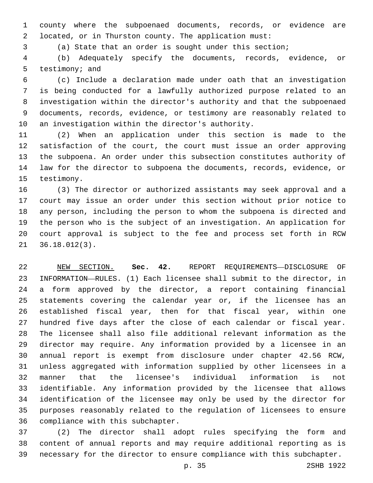county where the subpoenaed documents, records, or evidence are located, or in Thurston county. The application must:

(a) State that an order is sought under this section;

 (b) Adequately specify the documents, records, evidence, or 5 testimony; and

 (c) Include a declaration made under oath that an investigation is being conducted for a lawfully authorized purpose related to an investigation within the director's authority and that the subpoenaed documents, records, evidence, or testimony are reasonably related to 10 an investigation within the director's authority.

 (2) When an application under this section is made to the satisfaction of the court, the court must issue an order approving the subpoena. An order under this subsection constitutes authority of law for the director to subpoena the documents, records, evidence, or 15 testimony.

 (3) The director or authorized assistants may seek approval and a court may issue an order under this section without prior notice to any person, including the person to whom the subpoena is directed and the person who is the subject of an investigation. An application for court approval is subject to the fee and process set forth in RCW  $36.18.012(3)$ .

 NEW SECTION. **Sec. 42.** REPORT REQUIREMENTS—DISCLOSURE OF INFORMATION—RULES. (1) Each licensee shall submit to the director, in a form approved by the director, a report containing financial statements covering the calendar year or, if the licensee has an established fiscal year, then for that fiscal year, within one hundred five days after the close of each calendar or fiscal year. The licensee shall also file additional relevant information as the director may require. Any information provided by a licensee in an annual report is exempt from disclosure under chapter 42.56 RCW, unless aggregated with information supplied by other licensees in a manner that the licensee's individual information is not identifiable. Any information provided by the licensee that allows identification of the licensee may only be used by the director for purposes reasonably related to the regulation of licensees to ensure compliance with this subchapter.

 (2) The director shall adopt rules specifying the form and content of annual reports and may require additional reporting as is necessary for the director to ensure compliance with this subchapter.

p. 35 2SHB 1922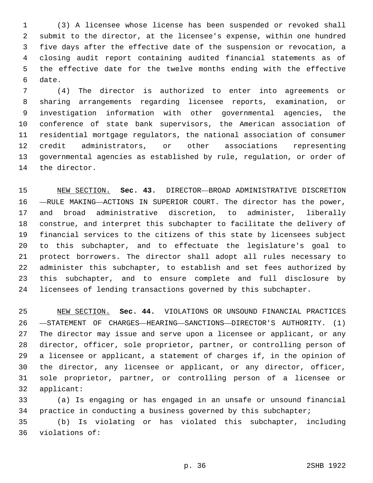(3) A licensee whose license has been suspended or revoked shall submit to the director, at the licensee's expense, within one hundred five days after the effective date of the suspension or revocation, a closing audit report containing audited financial statements as of the effective date for the twelve months ending with the effective 6 date.

 (4) The director is authorized to enter into agreements or sharing arrangements regarding licensee reports, examination, or investigation information with other governmental agencies, the conference of state bank supervisors, the American association of residential mortgage regulators, the national association of consumer credit administrators, or other associations representing governmental agencies as established by rule, regulation, or order of 14 the director.

 NEW SECTION. **Sec. 43.** DIRECTOR—BROAD ADMINISTRATIVE DISCRETION —RULE MAKING—ACTIONS IN SUPERIOR COURT. The director has the power, and broad administrative discretion, to administer, liberally construe, and interpret this subchapter to facilitate the delivery of financial services to the citizens of this state by licensees subject to this subchapter, and to effectuate the legislature's goal to protect borrowers. The director shall adopt all rules necessary to administer this subchapter, to establish and set fees authorized by this subchapter, and to ensure complete and full disclosure by licensees of lending transactions governed by this subchapter.

 NEW SECTION. **Sec. 44.** VIOLATIONS OR UNSOUND FINANCIAL PRACTICES —STATEMENT OF CHARGES—HEARING—SANCTIONS—DIRECTOR'S AUTHORITY. (1) The director may issue and serve upon a licensee or applicant, or any director, officer, sole proprietor, partner, or controlling person of a licensee or applicant, a statement of charges if, in the opinion of the director, any licensee or applicant, or any director, officer, sole proprietor, partner, or controlling person of a licensee or applicant:

 (a) Is engaging or has engaged in an unsafe or unsound financial practice in conducting a business governed by this subchapter;

 (b) Is violating or has violated this subchapter, including 36 violations of: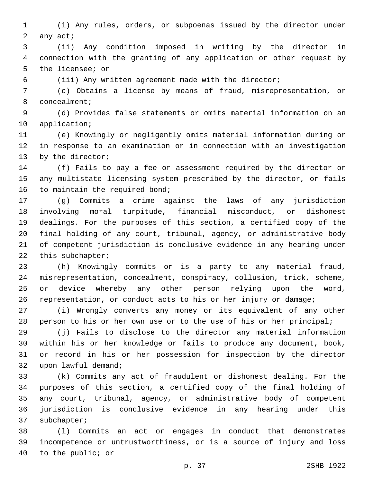(i) Any rules, orders, or subpoenas issued by the director under 2 any act;

 (ii) Any condition imposed in writing by the director in connection with the granting of any application or other request by 5 the licensee; or

(iii) Any written agreement made with the director;

 (c) Obtains a license by means of fraud, misrepresentation, or 8 concealment;

 (d) Provides false statements or omits material information on an 10 application;

 (e) Knowingly or negligently omits material information during or in response to an examination or in connection with an investigation 13 by the director;

 (f) Fails to pay a fee or assessment required by the director or any multistate licensing system prescribed by the director, or fails 16 to maintain the required bond;

 (g) Commits a crime against the laws of any jurisdiction involving moral turpitude, financial misconduct, or dishonest dealings. For the purposes of this section, a certified copy of the final holding of any court, tribunal, agency, or administrative body of competent jurisdiction is conclusive evidence in any hearing under 22 this subchapter;

 (h) Knowingly commits or is a party to any material fraud, misrepresentation, concealment, conspiracy, collusion, trick, scheme, or device whereby any other person relying upon the word, representation, or conduct acts to his or her injury or damage;

 (i) Wrongly converts any money or its equivalent of any other person to his or her own use or to the use of his or her principal;

 (j) Fails to disclose to the director any material information within his or her knowledge or fails to produce any document, book, or record in his or her possession for inspection by the director 32 upon lawful demand;

 (k) Commits any act of fraudulent or dishonest dealing. For the purposes of this section, a certified copy of the final holding of any court, tribunal, agency, or administrative body of competent jurisdiction is conclusive evidence in any hearing under this 37 subchapter;

 (l) Commits an act or engages in conduct that demonstrates incompetence or untrustworthiness, or is a source of injury and loss 40 to the public; or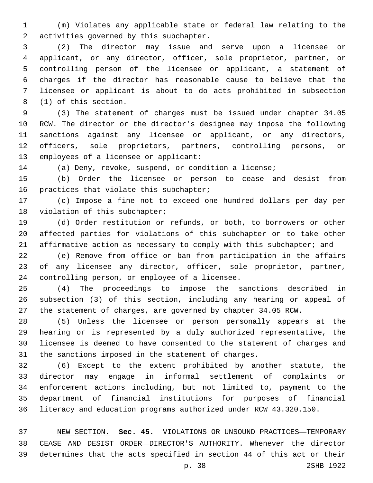(m) Violates any applicable state or federal law relating to the 2 activities governed by this subchapter.

 (2) The director may issue and serve upon a licensee or applicant, or any director, officer, sole proprietor, partner, or controlling person of the licensee or applicant, a statement of charges if the director has reasonable cause to believe that the licensee or applicant is about to do acts prohibited in subsection 8 (1) of this section.

 (3) The statement of charges must be issued under chapter 34.05 RCW. The director or the director's designee may impose the following sanctions against any licensee or applicant, or any directors, officers, sole proprietors, partners, controlling persons, or 13 employees of a licensee or applicant:

(a) Deny, revoke, suspend, or condition a license;

 (b) Order the licensee or person to cease and desist from 16 practices that violate this subchapter;

 (c) Impose a fine not to exceed one hundred dollars per day per 18 violation of this subchapter;

 (d) Order restitution or refunds, or both, to borrowers or other affected parties for violations of this subchapter or to take other 21 affirmative action as necessary to comply with this subchapter; and

 (e) Remove from office or ban from participation in the affairs of any licensee any director, officer, sole proprietor, partner, 24 controlling person, or employee of a licensee.

 (4) The proceedings to impose the sanctions described in subsection (3) of this section, including any hearing or appeal of the statement of charges, are governed by chapter 34.05 RCW.

 (5) Unless the licensee or person personally appears at the hearing or is represented by a duly authorized representative, the licensee is deemed to have consented to the statement of charges and the sanctions imposed in the statement of charges.

 (6) Except to the extent prohibited by another statute, the director may engage in informal settlement of complaints or enforcement actions including, but not limited to, payment to the department of financial institutions for purposes of financial literacy and education programs authorized under RCW 43.320.150.

 NEW SECTION. **Sec. 45.** VIOLATIONS OR UNSOUND PRACTICES—TEMPORARY CEASE AND DESIST ORDER—DIRECTOR'S AUTHORITY. Whenever the director determines that the acts specified in section 44 of this act or their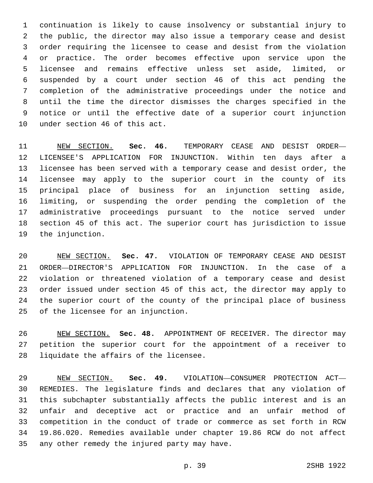continuation is likely to cause insolvency or substantial injury to the public, the director may also issue a temporary cease and desist order requiring the licensee to cease and desist from the violation or practice. The order becomes effective upon service upon the licensee and remains effective unless set aside, limited, or suspended by a court under section 46 of this act pending the completion of the administrative proceedings under the notice and until the time the director dismisses the charges specified in the notice or until the effective date of a superior court injunction 10 under section 46 of this act.

 NEW SECTION. **Sec. 46.** TEMPORARY CEASE AND DESIST ORDER— LICENSEE'S APPLICATION FOR INJUNCTION. Within ten days after a licensee has been served with a temporary cease and desist order, the licensee may apply to the superior court in the county of its principal place of business for an injunction setting aside, limiting, or suspending the order pending the completion of the administrative proceedings pursuant to the notice served under section 45 of this act. The superior court has jurisdiction to issue the injunction.

 NEW SECTION. **Sec. 47.** VIOLATION OF TEMPORARY CEASE AND DESIST ORDER—DIRECTOR'S APPLICATION FOR INJUNCTION. In the case of a violation or threatened violation of a temporary cease and desist order issued under section 45 of this act, the director may apply to the superior court of the county of the principal place of business of the licensee for an injunction.

 NEW SECTION. **Sec. 48.** APPOINTMENT OF RECEIVER. The director may petition the superior court for the appointment of a receiver to liquidate the affairs of the licensee.

 NEW SECTION. **Sec. 49.** VIOLATION—CONSUMER PROTECTION ACT— REMEDIES. The legislature finds and declares that any violation of this subchapter substantially affects the public interest and is an unfair and deceptive act or practice and an unfair method of competition in the conduct of trade or commerce as set forth in RCW 19.86.020. Remedies available under chapter 19.86 RCW do not affect any other remedy the injured party may have.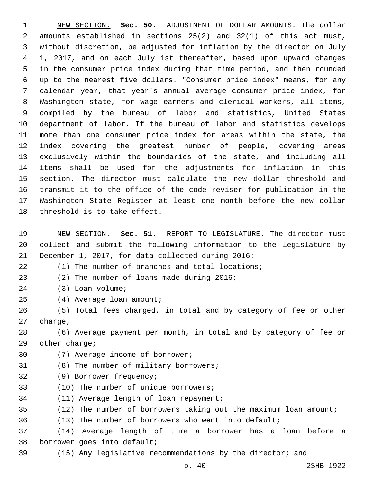NEW SECTION. **Sec. 50.** ADJUSTMENT OF DOLLAR AMOUNTS. The dollar amounts established in sections 25(2) and 32(1) of this act must, without discretion, be adjusted for inflation by the director on July 1, 2017, and on each July 1st thereafter, based upon upward changes in the consumer price index during that time period, and then rounded up to the nearest five dollars. "Consumer price index" means, for any calendar year, that year's annual average consumer price index, for Washington state, for wage earners and clerical workers, all items, compiled by the bureau of labor and statistics, United States department of labor. If the bureau of labor and statistics develops more than one consumer price index for areas within the state, the index covering the greatest number of people, covering areas exclusively within the boundaries of the state, and including all items shall be used for the adjustments for inflation in this section. The director must calculate the new dollar threshold and transmit it to the office of the code reviser for publication in the Washington State Register at least one month before the new dollar threshold is to take effect.

 NEW SECTION. **Sec. 51.** REPORT TO LEGISLATURE. The director must collect and submit the following information to the legislature by December 1, 2017, for data collected during 2016:

(1) The number of branches and total locations;

23 (2) The number of loans made during 2016;

24 (3) Loan volume;

(4) Average loan amount;25

 (5) Total fees charged, in total and by category of fee or other 27 charge;

 (6) Average payment per month, in total and by category of fee or 29 other charge;

30 (7) Average income of borrower;

31 (8) The number of military borrowers;

- (9) Borrower frequency;32
- 33 (10) The number of unique borrowers;

34 (11) Average length of loan repayment;

(12) The number of borrowers taking out the maximum loan amount;

(13) The number of borrowers who went into default;

 (14) Average length of time a borrower has a loan before a 38 borrower goes into default;

(15) Any legislative recommendations by the director; and